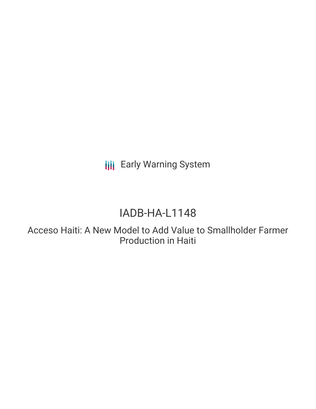# **III** Early Warning System

# IADB-HA-L1148

Acceso Haiti: A New Model to Add Value to Smallholder Farmer Production in Haiti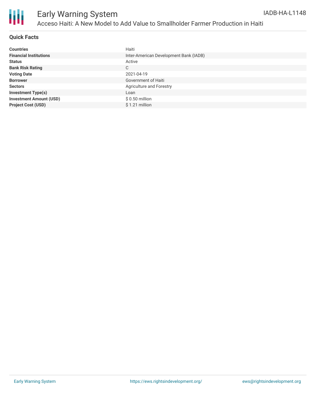

#### **Quick Facts**

| <b>Countries</b>               | Haiti                                  |
|--------------------------------|----------------------------------------|
| <b>Financial Institutions</b>  | Inter-American Development Bank (IADB) |
| <b>Status</b>                  | Active                                 |
| <b>Bank Risk Rating</b>        | C                                      |
| <b>Voting Date</b>             | 2021-04-19                             |
| <b>Borrower</b>                | Government of Haiti                    |
| <b>Sectors</b>                 | Agriculture and Forestry               |
| <b>Investment Type(s)</b>      | Loan                                   |
| <b>Investment Amount (USD)</b> | $$0.50$ million                        |
| <b>Project Cost (USD)</b>      | \$1.21 million                         |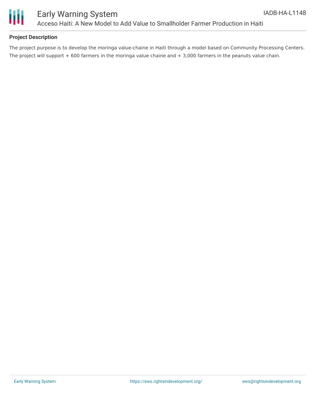



#### **Project Description**

The project purpose is to develop the moringa value-chaine in Haiti through a model based on Community Processing Centers. The project will support  $+600$  farmers in the moringa value chaine and  $+3,000$  farmers in the peanuts value chain.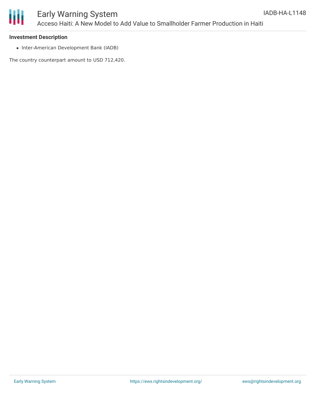

#### **Investment Description**

• Inter-American Development Bank (IADB)

The country counterpart amount to USD 712,420.